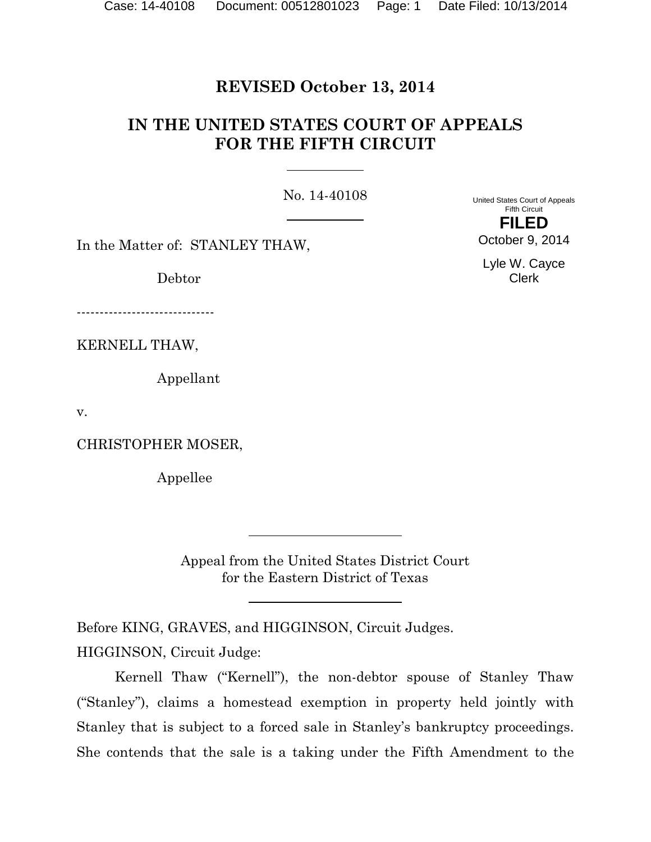## **REVISED October 13, 2014**

# **IN THE UNITED STATES COURT OF APPEALS FOR THE FIFTH CIRCUIT**

No. 14-40108

In the Matter of: STANLEY THAW,

Debtor

------------------------------

KERNELL THAW,

Appellant

v.

CHRISTOPHER MOSER,

Appellee

Appeal from the United States District Court for the Eastern District of Texas

Before KING, GRAVES, and HIGGINSON, Circuit Judges.

HIGGINSON, Circuit Judge:

Kernell Thaw ("Kernell"), the non-debtor spouse of Stanley Thaw ("Stanley"), claims a homestead exemption in property held jointly with Stanley that is subject to a forced sale in Stanley's bankruptcy proceedings. She contends that the sale is a taking under the Fifth Amendment to the

United States Court of Appeals Fifth Circuit **FILED**

October 9, 2014

Lyle W. Cayce Clerk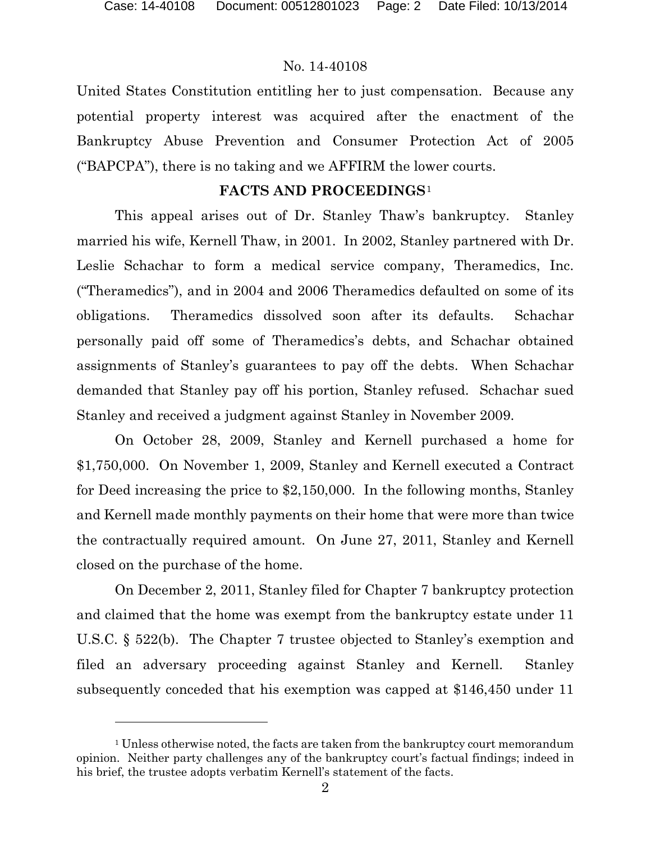$\overline{a}$ 

#### No. 14-40108

United States Constitution entitling her to just compensation. Because any potential property interest was acquired after the enactment of the Bankruptcy Abuse Prevention and Consumer Protection Act of 2005 ("BAPCPA"), there is no taking and we AFFIRM the lower courts.

#### **FACTS AND PROCEEDINGS**[1](#page-1-0)

This appeal arises out of Dr. Stanley Thaw's bankruptcy. Stanley married his wife, Kernell Thaw, in 2001. In 2002, Stanley partnered with Dr. Leslie Schachar to form a medical service company, Theramedics, Inc. ("Theramedics"), and in 2004 and 2006 Theramedics defaulted on some of its obligations. Theramedics dissolved soon after its defaults. Schachar personally paid off some of Theramedics's debts, and Schachar obtained assignments of Stanley's guarantees to pay off the debts. When Schachar demanded that Stanley pay off his portion, Stanley refused. Schachar sued Stanley and received a judgment against Stanley in November 2009.

On October 28, 2009, Stanley and Kernell purchased a home for \$1,750,000. On November 1, 2009, Stanley and Kernell executed a Contract for Deed increasing the price to \$2,150,000. In the following months, Stanley and Kernell made monthly payments on their home that were more than twice the contractually required amount. On June 27, 2011, Stanley and Kernell closed on the purchase of the home.

On December 2, 2011, Stanley filed for Chapter 7 bankruptcy protection and claimed that the home was exempt from the bankruptcy estate under 11 U.S.C. § 522(b). The Chapter 7 trustee objected to Stanley's exemption and filed an adversary proceeding against Stanley and Kernell. Stanley subsequently conceded that his exemption was capped at \$146,450 under 11

<span id="page-1-0"></span><sup>&</sup>lt;sup>1</sup> Unless otherwise noted, the facts are taken from the bankruptcy court memorandum opinion. Neither party challenges any of the bankruptcy court's factual findings; indeed in his brief, the trustee adopts verbatim Kernell's statement of the facts.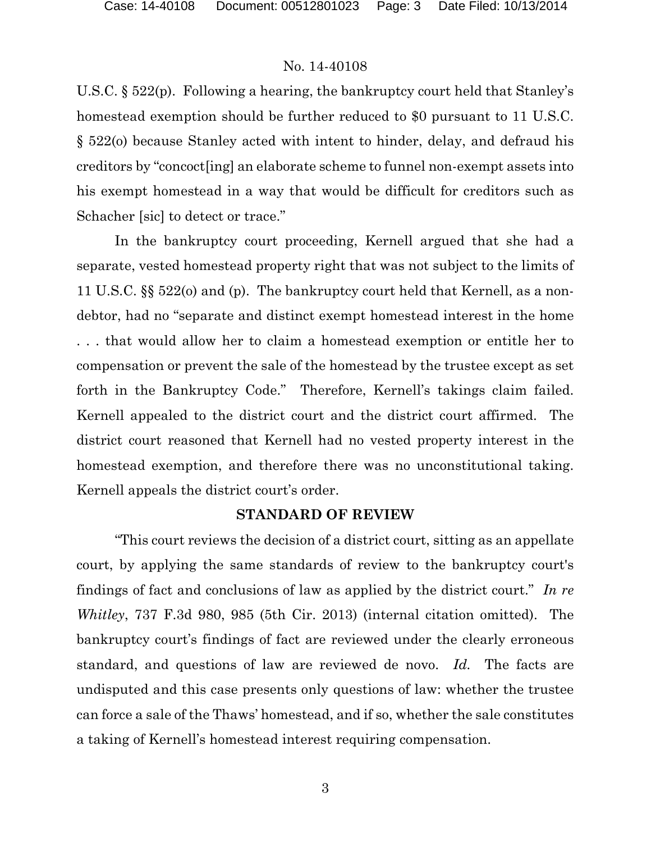U.S.C. § 522(p). Following a hearing, the bankruptcy court held that Stanley's homestead exemption should be further reduced to \$0 pursuant to 11 U.S.C. § 522(o) because Stanley acted with intent to hinder, delay, and defraud his creditors by "concoct[ing] an elaborate scheme to funnel non-exempt assets into his exempt homestead in a way that would be difficult for creditors such as Schacher [sic] to detect or trace."

In the bankruptcy court proceeding, Kernell argued that she had a separate, vested homestead property right that was not subject to the limits of 11 U.S.C. §§ 522(o) and (p). The bankruptcy court held that Kernell, as a nondebtor, had no "separate and distinct exempt homestead interest in the home . . . that would allow her to claim a homestead exemption or entitle her to compensation or prevent the sale of the homestead by the trustee except as set forth in the Bankruptcy Code." Therefore, Kernell's takings claim failed. Kernell appealed to the district court and the district court affirmed. The district court reasoned that Kernell had no vested property interest in the homestead exemption, and therefore there was no unconstitutional taking. Kernell appeals the district court's order.

### **STANDARD OF REVIEW**

"This court reviews the decision of a district court, sitting as an appellate court, by applying the same standards of review to the bankruptcy court's findings of fact and conclusions of law as applied by the district court." *In re Whitley*, 737 F.3d 980, 985 (5th Cir. 2013) (internal citation omitted). The bankruptcy court's findings of fact are reviewed under the clearly erroneous standard, and questions of law are reviewed de novo. *Id.* The facts are undisputed and this case presents only questions of law: whether the trustee can force a sale of the Thaws' homestead, and if so, whether the sale constitutes a taking of Kernell's homestead interest requiring compensation.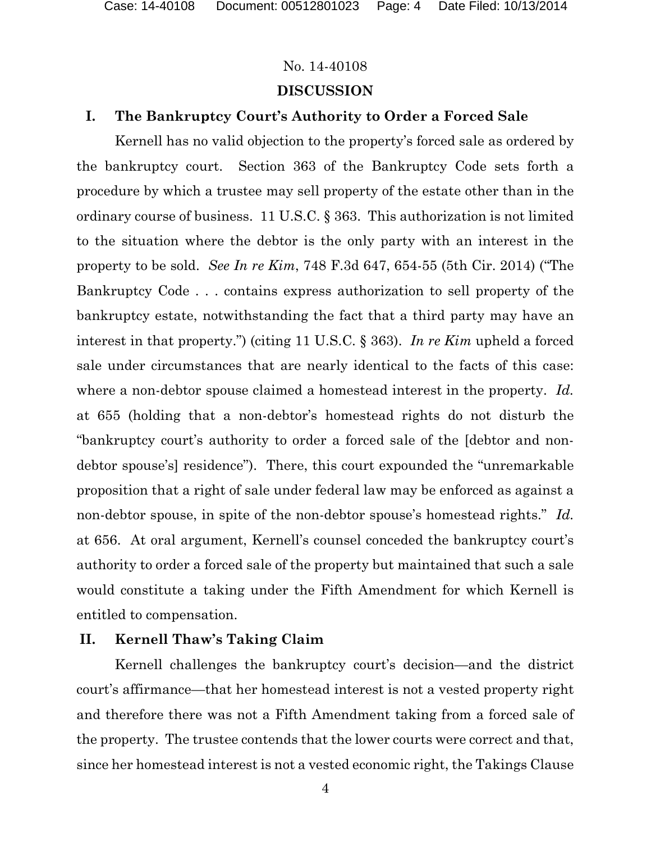# No. 14-40108 **DISCUSSION**

# **I. The Bankruptcy Court's Authority to Order a Forced Sale**

Kernell has no valid objection to the property's forced sale as ordered by the bankruptcy court. Section 363 of the Bankruptcy Code sets forth a procedure by which a trustee may sell property of the estate other than in the ordinary course of business. 11 U.S.C. § 363. This authorization is not limited to the situation where the debtor is the only party with an interest in the property to be sold. *See In re Kim*, 748 F.3d 647, 654-55 (5th Cir. 2014) ("The Bankruptcy Code . . . contains express authorization to sell property of the bankruptcy estate, notwithstanding the fact that a third party may have an interest in that property.") (citing 11 U.S.C. § 363). *In re Kim* upheld a forced sale under circumstances that are nearly identical to the facts of this case: where a non-debtor spouse claimed a homestead interest in the property. *Id.* at 655 (holding that a non-debtor's homestead rights do not disturb the "bankruptcy court's authority to order a forced sale of the [debtor and nondebtor spouse's] residence"). There, this court expounded the "unremarkable proposition that a right of sale under federal law may be enforced as against a non-debtor spouse, in spite of the non-debtor spouse's homestead rights." *Id.* at 656. At oral argument, Kernell's counsel conceded the bankruptcy court's authority to order a forced sale of the property but maintained that such a sale would constitute a taking under the Fifth Amendment for which Kernell is entitled to compensation.

## **II. Kernell Thaw's Taking Claim**

Kernell challenges the bankruptcy court's decision—and the district court's affirmance—that her homestead interest is not a vested property right and therefore there was not a Fifth Amendment taking from a forced sale of the property. The trustee contends that the lower courts were correct and that, since her homestead interest is not a vested economic right, the Takings Clause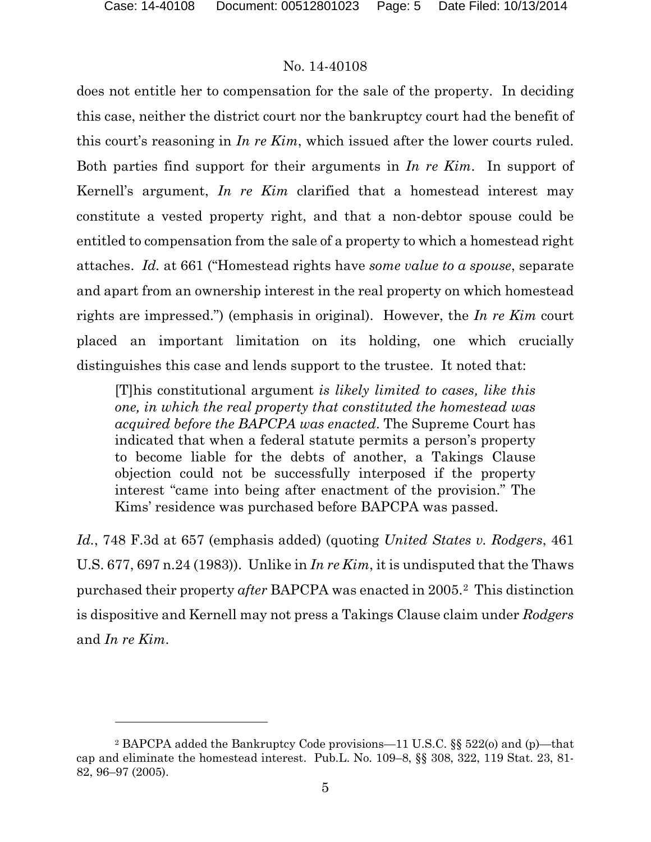$\overline{a}$ 

## No. 14-40108

does not entitle her to compensation for the sale of the property. In deciding this case, neither the district court nor the bankruptcy court had the benefit of this court's reasoning in *In re Kim*, which issued after the lower courts ruled. Both parties find support for their arguments in *In re Kim*. In support of Kernell's argument, *In re Kim* clarified that a homestead interest may constitute a vested property right, and that a non-debtor spouse could be entitled to compensation from the sale of a property to which a homestead right attaches. *Id.* at 661 ("Homestead rights have *some value to a spouse*, separate and apart from an ownership interest in the real property on which homestead rights are impressed.") (emphasis in original). However, the *In re Kim* court placed an important limitation on its holding, one which crucially distinguishes this case and lends support to the trustee. It noted that:

[T]his constitutional argument *is likely limited to cases, like this one, in which the real property that constituted the homestead was acquired before the BAPCPA was enacted*. The Supreme Court has indicated that when a federal statute permits a person's property to become liable for the debts of another, a Takings Clause objection could not be successfully interposed if the property interest "came into being after enactment of the provision." The Kims' residence was purchased before BAPCPA was passed.

*Id.*, 748 F.3d at 657 (emphasis added) (quoting *United States v. Rodgers*, 461 U.S. 677, 697 n.24 (1983)). Unlike in *In re Kim*, it is undisputed that the Thaws purchased their property *after* BAPCPA was enacted in 2005.[2](#page-4-0) This distinction is dispositive and Kernell may not press a Takings Clause claim under *Rodgers* and *In re Kim*.

<span id="page-4-0"></span><sup>2</sup> BAPCPA added the Bankruptcy Code provisions—11 U.S.C. §§ 522(o) and (p)—that cap and eliminate the homestead interest. Pub.L. No. 109–8, §§ 308, 322, 119 Stat. 23, 81- 82, 96–97 (2005).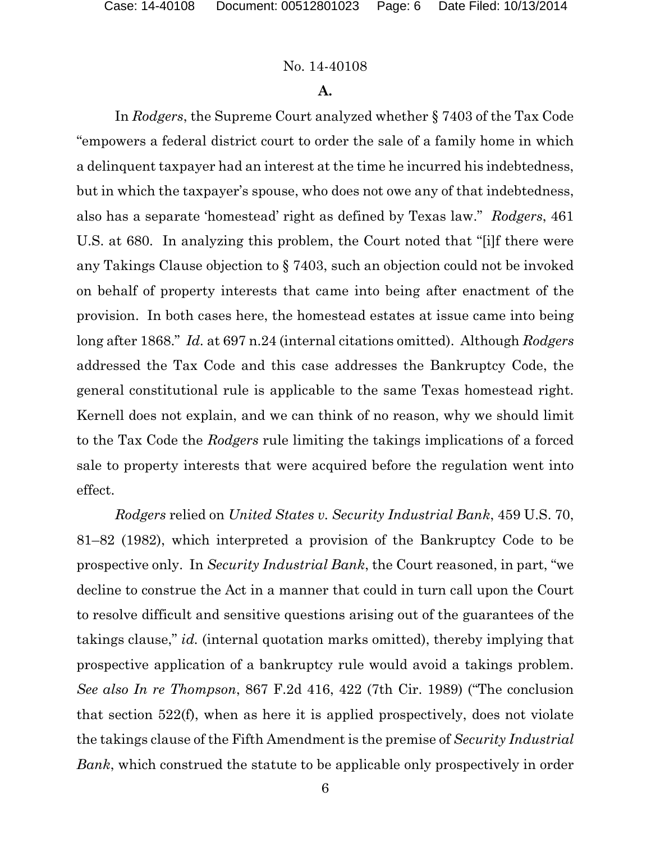## **A.**

In *Rodgers*, the Supreme Court analyzed whether § 7403 of the Tax Code "empowers a federal district court to order the sale of a family home in which a delinquent taxpayer had an interest at the time he incurred his indebtedness, but in which the taxpayer's spouse, who does not owe any of that indebtedness, also has a separate 'homestead' right as defined by Texas law." *Rodgers*, 461 U.S. at 680. In analyzing this problem, the Court noted that "[i]f there were any Takings Clause objection to § 7403, such an objection could not be invoked on behalf of property interests that came into being after enactment of the provision. In both cases here, the homestead estates at issue came into being long after 1868." *Id.* at 697 n.24 (internal citations omitted). Although *Rodgers* addressed the Tax Code and this case addresses the Bankruptcy Code, the general constitutional rule is applicable to the same Texas homestead right. Kernell does not explain, and we can think of no reason, why we should limit to the Tax Code the *Rodgers* rule limiting the takings implications of a forced sale to property interests that were acquired before the regulation went into effect.

*Rodgers* relied on *United States v. Security Industrial Bank*, 459 U.S. 70, 81–82 (1982), which interpreted a provision of the Bankruptcy Code to be prospective only. In *Security Industrial Bank*, the Court reasoned, in part, "we decline to construe the Act in a manner that could in turn call upon the Court to resolve difficult and sensitive questions arising out of the guarantees of the takings clause," *id.* (internal quotation marks omitted), thereby implying that prospective application of a bankruptcy rule would avoid a takings problem. *See also In re Thompson*, 867 F.2d 416, 422 (7th Cir. 1989) ("The conclusion that section 522(f), when as here it is applied prospectively, does not violate the takings clause of the Fifth Amendment is the premise of *Security Industrial Bank*, which construed the statute to be applicable only prospectively in order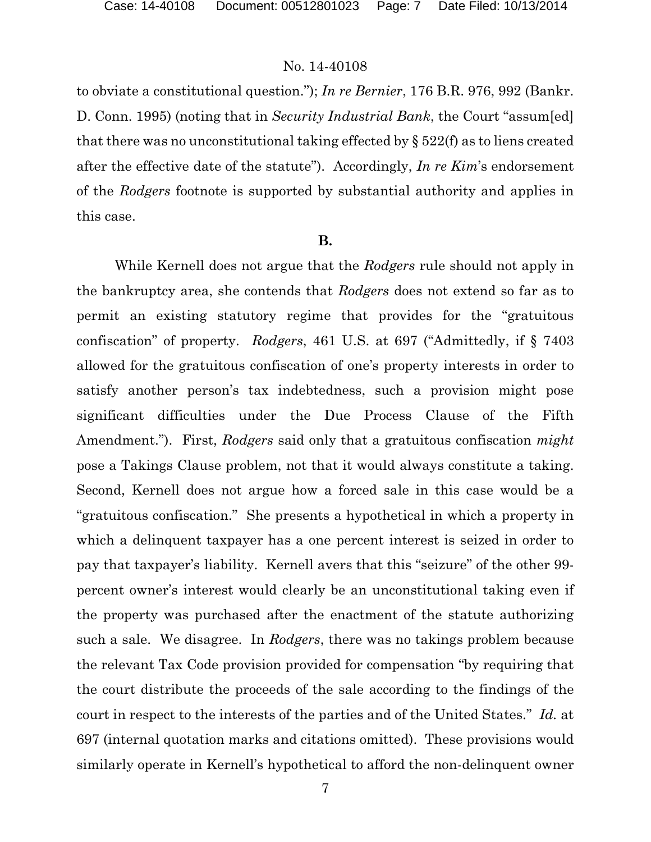to obviate a constitutional question."); *In re Bernier*, 176 B.R. 976, 992 (Bankr. D. Conn. 1995) (noting that in *Security Industrial Bank*, the Court "assum[ed] that there was no unconstitutional taking effected by § 522(f) as to liens created after the effective date of the statute"). Accordingly, *In re Kim*'s endorsement of the *Rodgers* footnote is supported by substantial authority and applies in this case.

#### **B.**

While Kernell does not argue that the *Rodgers* rule should not apply in the bankruptcy area, she contends that *Rodgers* does not extend so far as to permit an existing statutory regime that provides for the "gratuitous confiscation" of property. *Rodgers*, 461 U.S. at 697 ("Admittedly, if § 7403 allowed for the gratuitous confiscation of one's property interests in order to satisfy another person's tax indebtedness, such a provision might pose significant difficulties under the Due Process Clause of the Fifth Amendment."). First, *Rodgers* said only that a gratuitous confiscation *might* pose a Takings Clause problem, not that it would always constitute a taking. Second, Kernell does not argue how a forced sale in this case would be a "gratuitous confiscation." She presents a hypothetical in which a property in which a delinquent taxpayer has a one percent interest is seized in order to pay that taxpayer's liability. Kernell avers that this "seizure" of the other 99 percent owner's interest would clearly be an unconstitutional taking even if the property was purchased after the enactment of the statute authorizing such a sale. We disagree. In *Rodgers*, there was no takings problem because the relevant Tax Code provision provided for compensation "by requiring that the court distribute the proceeds of the sale according to the findings of the court in respect to the interests of the parties and of the United States." *Id.* at 697 (internal quotation marks and citations omitted). These provisions would similarly operate in Kernell's hypothetical to afford the non-delinquent owner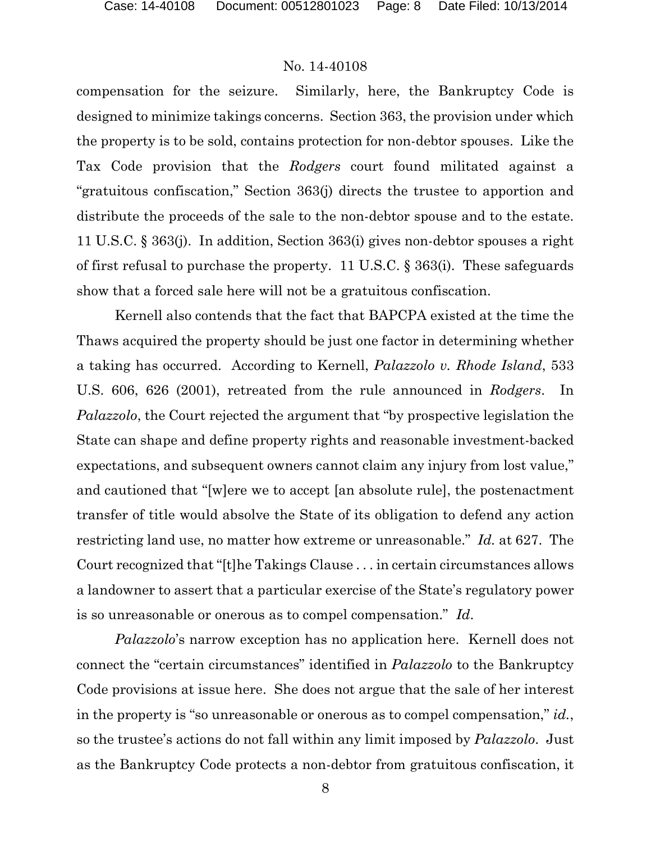compensation for the seizure. Similarly, here, the Bankruptcy Code is designed to minimize takings concerns. Section 363, the provision under which the property is to be sold, contains protection for non-debtor spouses. Like the Tax Code provision that the *Rodgers* court found militated against a "gratuitous confiscation," Section 363(j) directs the trustee to apportion and distribute the proceeds of the sale to the non-debtor spouse and to the estate. 11 U.S.C. § 363(j). In addition, Section 363(i) gives non-debtor spouses a right of first refusal to purchase the property. 11 U.S.C. § 363(i). These safeguards show that a forced sale here will not be a gratuitous confiscation.

Kernell also contends that the fact that BAPCPA existed at the time the Thaws acquired the property should be just one factor in determining whether a taking has occurred. According to Kernell, *Palazzolo v. Rhode Island*, 533 U.S. 606, 626 (2001), retreated from the rule announced in *Rodgers*. In *Palazzolo*, the Court rejected the argument that "by prospective legislation the State can shape and define property rights and reasonable investment-backed expectations, and subsequent owners cannot claim any injury from lost value," and cautioned that "[w]ere we to accept [an absolute rule], the postenactment transfer of title would absolve the State of its obligation to defend any action restricting land use, no matter how extreme or unreasonable." *Id.* at 627. The Court recognized that "[t]he Takings Clause . . . in certain circumstances allows a landowner to assert that a particular exercise of the State's regulatory power is so unreasonable or onerous as to compel compensation." *Id*.

*Palazzolo*'s narrow exception has no application here. Kernell does not connect the "certain circumstances" identified in *Palazzolo* to the Bankruptcy Code provisions at issue here. She does not argue that the sale of her interest in the property is "so unreasonable or onerous as to compel compensation," *id.*, so the trustee's actions do not fall within any limit imposed by *Palazzolo*. Just as the Bankruptcy Code protects a non-debtor from gratuitous confiscation, it